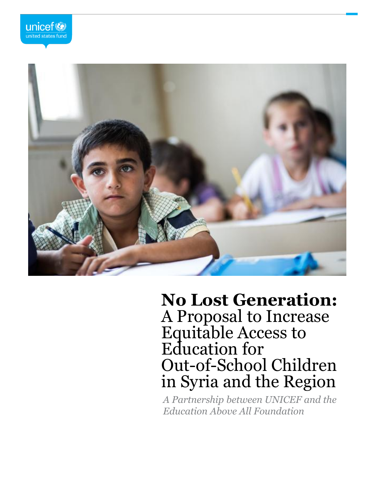



# **No Lost Generation:**  A Proposal to Increase Equitable Access to Education for Out-of-School Children in Syria and the Region

*A Partnership between UNICEF and the Education Above All Foundation*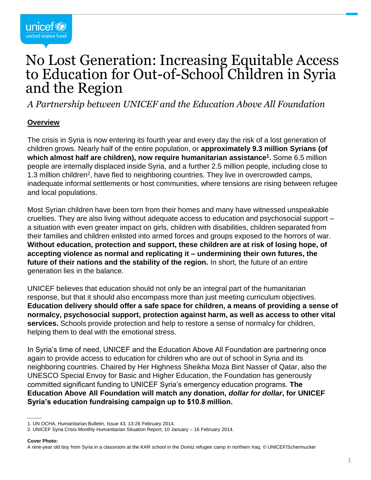## No Lost Generation: Increasing Equitable Access to Education for Out-of-School Children in Syria and the Region

*A Partnership between UNICEF and the Education Above All Foundation*

#### **Overview**

The crisis in Syria is now entering its fourth year and every day the risk of a lost generation of children grows. Nearly half of the entire population, or **approximately 9.3 million Syrians (of which almost half are children), now require humanitarian assistance<sup>1</sup> .** Some 6.5 million people are internally displaced inside Syria, and a further 2.5 million people, including close to 1.3 million children<sup>2</sup>, have fled to neighboring countries. They live in overcrowded camps, inadequate informal settlements or host communities, where tensions are rising between refugee and local populations.

Most Syrian children have been torn from their homes and many have witnessed unspeakable cruelties. They are also living without adequate access to education and psychosocial support – a situation with even greater impact on girls, children with disabilities, children separated from their families and children enlisted into armed forces and groups exposed to the horrors of war. **Without education, protection and support, these children are at risk of losing hope, of accepting violence as normal and replicating it – undermining their own futures, the future of their nations and the stability of the region.** In short, the future of an entire generation lies in the balance.

UNICEF believes that education should not only be an integral part of the humanitarian response, but that it should also encompass more than just meeting curriculum objectives. **Education delivery should offer a safe space for children, a means of providing a sense of normalcy, psychosocial support, protection against harm, as well as access to other vital services.** Schools provide protection and help to restore a sense of normalcy for children, helping them to deal with the emotional stress.

In Syria's time of need, UNICEF and the Education Above All Foundation are partnering once again to provide access to education for children who are out of school in Syria and its neighboring countries. Chaired by Her Highness Sheikha Moza Bint Nasser of Qatar, also the UNESCO Special Envoy for Basic and Higher Education, the Foundation has generously committed significant funding to UNICEF Syria's emergency education programs. **The Education Above All Foundation will match any donation,** *dollar for dollar***, for UNICEF Syria's education fundraising campaign up to \$10.8 million.**

#### **Cover Photo:**

<sup>---------</sup> 1. UN OCHA, Humanitarian Bulletin, Issue 43, 13-26 February 2014.

<sup>2.</sup> UNICEF Syria Crisis Monthly Humanitarian Situation Report, 10 January – 16 February 2014.

A nine-year old boy from Syria in a classroom at the KAR school in the Domiz refugee camp in northern Iraq. © UNICEF/Schermucker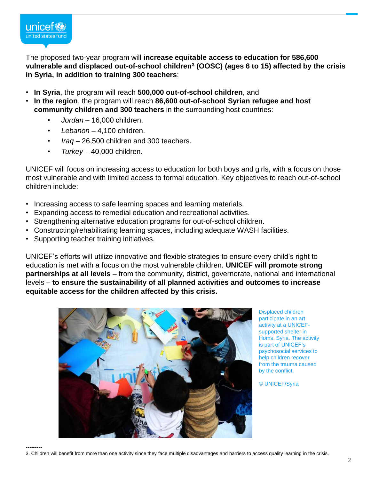

The proposed two-year program will **increase equitable access to education for 586,600 vulnerable and displaced out-of-school children<sup>3</sup> (OOSC) (ages 6 to 15) affected by the crisis in Syria, in addition to training 300 teachers**:

- **In Syria**, the program will reach **500,000 out-of-school children**, and
- **In the region**, the program will reach **86,600 out-of-school Syrian refugee and host community children and 300 teachers** in the surrounding host countries:
	- *Jordan* 16,000 children.
	- *Lebanon* 4,100 children.
	- *Iraq* 26,500 children and 300 teachers.
	- *Turkey* 40,000 children.

UNICEF will focus on increasing access to education for both boys and girls, with a focus on those most vulnerable and with limited access to formal education. Key objectives to reach out-of-school children include:

- Increasing access to safe learning spaces and learning materials.
- Expanding access to remedial education and recreational activities.
- Strengthening alternative education programs for out-of-school children.
- Constructing/rehabilitating learning spaces, including adequate WASH facilities.
- Supporting teacher training initiatives.

UNICEF's efforts will utilize innovative and flexible strategies to ensure every child's right to education is met with a focus on the most vulnerable children. **UNICEF will promote strong partnerships at all levels** – from the community, district, governorate, national and international levels – **to ensure the sustainability of all planned activities and outcomes to increase equitable access for the children affected by this crisis.**



Displaced children participate in an art activity at a UNICEFsupported shelter in Homs, Syria. The activity is part of UNICEF's psychosocial services to help children recover from the trauma caused by the conflict.

© UNICEF/Syria

---------

3. Children will benefit from more than one activity since they face multiple disadvantages and barriers to access quality learning in the crisis.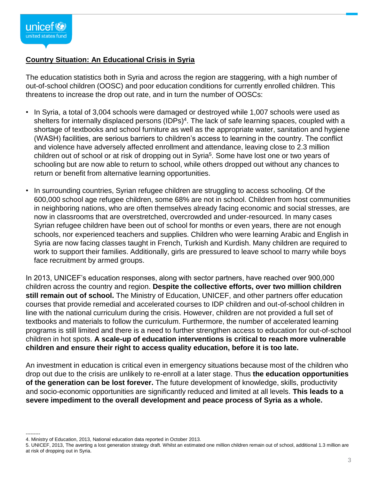#### **Country Situation: An Educational Crisis in Syria**

The education statistics both in Syria and across the region are staggering, with a high number of out-of-school children (OOSC) and poor education conditions for currently enrolled children. This threatens to increase the drop out rate, and in turn the number of OOSCs:

- In Syria, a total of 3,004 schools were damaged or destroyed while 1,007 schools were used as shelters for internally displaced persons (IDPs)<sup>4</sup>. The lack of safe learning spaces, coupled with a shortage of textbooks and school furniture as well as the appropriate water, sanitation and hygiene (WASH) facilities, are serious barriers to children's access to learning in the country. The conflict and violence have adversely affected enrollment and attendance, leaving close to 2.3 million children out of school or at risk of dropping out in Syria<sup>5</sup>. Some have lost one or two years of schooling but are now able to return to school, while others dropped out without any chances to return or benefit from alternative learning opportunities.
- In surrounding countries, Syrian refugee children are struggling to access schooling. Of the 600,000 school age refugee children, some 68% are not in school. Children from host communities in neighboring nations, who are often themselves already facing economic and social stresses, are now in classrooms that are overstretched, overcrowded and under-resourced. In many cases Syrian refugee children have been out of school for months or even years, there are not enough schools, nor experienced teachers and supplies. Children who were learning Arabic and English in Syria are now facing classes taught in French, Turkish and Kurdish. Many children are required to work to support their families. Additionally, girls are pressured to leave school to marry while boys face recruitment by armed groups.

In 2013, UNICEF's education responses, along with sector partners, have reached over 900,000 children across the country and region. **Despite the collective efforts, over two million children still remain out of school.** The Ministry of Education, UNICEF, and other partners offer education courses that provide remedial and accelerated courses to IDP children and out-of-school children in line with the national curriculum during the crisis. However, children are not provided a full set of textbooks and materials to follow the curriculum. Furthermore, the number of accelerated learning programs is still limited and there is a need to further strengthen access to education for out-of-school children in hot spots. **A scale-up of education interventions is critical to reach more vulnerable children and ensure their right to access quality education, before it is too late.**

An investment in education is critical even in emergency situations because most of the children who drop out due to the crisis are unlikely to re-enroll at a later stage. Thus **the education opportunities of the generation can be lost forever.** The future development of knowledge, skills, productivity and socio-economic opportunities are significantly reduced and limited at all levels. **This leads to a severe impediment to the overall development and peace process of Syria as a whole.**

<sup>---------</sup> 4. Ministry of Education, 2013, National education data reported in October 2013.

<sup>5.</sup> UNICEF, 2013, The averting a lost generation strategy draft. Whilst an estimated one million children remain out of school, additional 1.3 million are at risk of dropping out in Syria.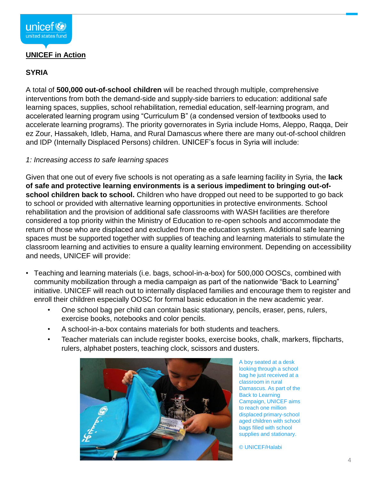#### **UNICEF in Action**

#### **SYRIA**

A total of **500,000 out-of-school children** will be reached through multiple, comprehensive interventions from both the demand-side and supply-side barriers to education: additional safe learning spaces, supplies, school rehabilitation, remedial education, self-learning program, and accelerated learning program using "Curriculum B" (a condensed version of textbooks used to accelerate learning programs). The priority governorates in Syria include Homs, Aleppo, Raqqa, Deir ez Zour, Hassakeh, Idleb, Hama, and Rural Damascus where there are many out-of-school children and IDP (Internally Displaced Persons) children. UNICEF's focus in Syria will include:

#### *1: Increasing access to safe learning spaces*

Given that one out of every five schools is not operating as a safe learning facility in Syria, the **lack of safe and protective learning environments is a serious impediment to bringing out-ofschool children back to school.** Children who have dropped out need to be supported to go back to school or provided with alternative learning opportunities in protective environments. School rehabilitation and the provision of additional safe classrooms with WASH facilities are therefore considered a top priority within the Ministry of Education to re-open schools and accommodate the return of those who are displaced and excluded from the education system. Additional safe learning spaces must be supported together with supplies of teaching and learning materials to stimulate the classroom learning and activities to ensure a quality learning environment. Depending on accessibility and needs, UNICEF will provide:

- Teaching and learning materials (i.e. bags, school-in-a-box) for 500,000 OOSCs, combined with community mobilization through a media campaign as part of the nationwide "Back to Learning" initiative. UNICEF will reach out to internally displaced families and encourage them to register and enroll their children especially OOSC for formal basic education in the new academic year.
	- One school bag per child can contain basic stationary, pencils, eraser, pens, rulers, exercise books, notebooks and color pencils.
	- A school-in-a-box contains materials for both students and teachers.
	- Teacher materials can include register books, exercise books, chalk, markers, flipcharts, rulers, alphabet posters, teaching clock, scissors and dusters.



A boy seated at a desk looking through a school bag he just received at a classroom in rural Damascus. As part of the Back to Learning Campaign, UNICEF aims to reach one million displaced primary-school aged children with school bags filled with school supplies and stationary.

© UNICEF/Halabi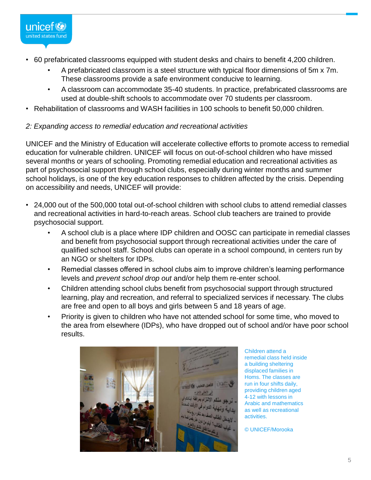

- 60 prefabricated classrooms equipped with student desks and chairs to benefit 4,200 children.
	- A prefabricated classroom is a steel structure with typical floor dimensions of 5m x 7m. These classrooms provide a safe environment conducive to learning.
	- A classroom can accommodate 35-40 students. In practice, prefabricated classrooms are used at double-shift schools to accommodate over 70 students per classroom.
- Rehabilitation of classrooms and WASH facilities in 100 schools to benefit 50,000 children.

#### *2: Expanding access to remedial education and recreational activities*

UNICEF and the Ministry of Education will accelerate collective efforts to promote access to remedial education for vulnerable children. UNICEF will focus on out-of-school children who have missed several months or years of schooling. Promoting remedial education and recreational activities as part of psychosocial support through school clubs, especially during winter months and summer school holidays, is one of the key education responses to children affected by the crisis. Depending on accessibility and needs, UNICEF will provide:

- 24,000 out of the 500,000 total out-of-school children with school clubs to attend remedial classes and recreational activities in hard-to-reach areas. School club teachers are trained to provide psychosocial support.
	- A school club is a place where IDP children and OOSC can participate in remedial classes and benefit from psychosocial support through recreational activities under the care of qualified school staff. School clubs can operate in a school compound, in centers run by an NGO or shelters for IDPs.
	- Remedial classes offered in school clubs aim to improve children's learning performance levels and *prevent school drop out* and/or help them re-enter school.
	- Children attending school clubs benefit from psychosocial support through structured learning, play and recreation, and referral to specialized services if necessary. The clubs are free and open to all boys and girls between 5 and 18 years of age.
	- Priority is given to children who have not attended school for some time, who moved to the area from elsewhere (IDPs), who have dropped out of school and/or have poor school results.



Children attend a remedial class held inside a building sheltering displaced families in Homs. The classes are run in four shifts daily, providing children aged 4-12 with lessons in Arabic and mathematics as well as recreational activities.

© UNICEF/Morooka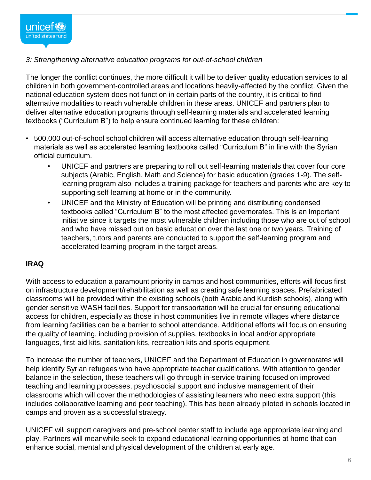

#### *3: Strengthening alternative education programs for out-of-school children*

The longer the conflict continues, the more difficult it will be to deliver quality education services to all children in both government-controlled areas and locations heavily-affected by the conflict. Given the national education system does not function in certain parts of the country, it is critical to find alternative modalities to reach vulnerable children in these areas. UNICEF and partners plan to deliver alternative education programs through self-learning materials and accelerated learning textbooks ("Curriculum B") to help ensure continued learning for these children:

- 500,000 out-of-school school children will access alternative education through self-learning materials as well as accelerated learning textbooks called "Curriculum B" in line with the Syrian official curriculum.
	- UNICEF and partners are preparing to roll out self-learning materials that cover four core subjects (Arabic, English, Math and Science) for basic education (grades 1-9). The selflearning program also includes a training package for teachers and parents who are key to supporting self-learning at home or in the community.
	- UNICEF and the Ministry of Education will be printing and distributing condensed textbooks called "Curriculum B" to the most affected governorates. This is an important initiative since it targets the most vulnerable children including those who are out of school and who have missed out on basic education over the last one or two years. Training of teachers, tutors and parents are conducted to support the self-learning program and accelerated learning program in the target areas.

#### **IRAQ**

With access to education a paramount priority in camps and host communities, efforts will focus first on infrastructure development/rehabilitation as well as creating safe learning spaces. Prefabricated classrooms will be provided within the existing schools (both Arabic and Kurdish schools), along with gender sensitive WASH facilities. Support for transportation will be crucial for ensuring educational access for children, especially as those in host communities live in remote villages where distance from learning facilities can be a barrier to school attendance. Additional efforts will focus on ensuring the quality of learning, including provision of supplies, textbooks in local and/or appropriate languages, first-aid kits, sanitation kits, recreation kits and sports equipment.

To increase the number of teachers, UNICEF and the Department of Education in governorates will help identify Syrian refugees who have appropriate teacher qualifications. With attention to gender balance in the selection, these teachers will go through in-service training focused on improved teaching and learning processes, psychosocial support and inclusive management of their classrooms which will cover the methodologies of assisting learners who need extra support (this includes collaborative learning and peer teaching). This has been already piloted in schools located in camps and proven as a successful strategy.

UNICEF will support caregivers and pre-school center staff to include age appropriate learning and play. Partners will meanwhile seek to expand educational learning opportunities at home that can enhance social, mental and physical development of the children at early age.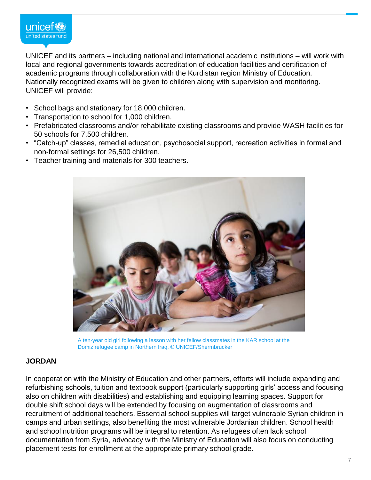

UNICEF and its partners – including national and international academic institutions – will work with local and regional governments towards accreditation of education facilities and certification of academic programs through collaboration with the Kurdistan region Ministry of Education. Nationally recognized exams will be given to children along with supervision and monitoring. UNICEF will provide:

- School bags and stationary for 18,000 children.
- Transportation to school for 1,000 children.
- Prefabricated classrooms and/or rehabilitate existing classrooms and provide WASH facilities for 50 schools for 7,500 children.
- "Catch-up" classes, remedial education, psychosocial support, recreation activities in formal and non-formal settings for 26,500 children.
- Teacher training and materials for 300 teachers.



A ten-year old girl following a lesson with her fellow classmates in the KAR school at the Domiz refugee camp in Northern Iraq. © UNICEF/Shermbrucker

#### **JORDAN**

In cooperation with the Ministry of Education and other partners, efforts will include expanding and refurbishing schools, tuition and textbook support (particularly supporting girls' access and focusing also on children with disabilities) and establishing and equipping learning spaces. Support for double shift school days will be extended by focusing on augmentation of classrooms and recruitment of additional teachers. Essential school supplies will target vulnerable Syrian children in camps and urban settings, also benefiting the most vulnerable Jordanian children. School health and school nutrition programs will be integral to retention. As refugees often lack school documentation from Syria, advocacy with the Ministry of Education will also focus on conducting placement tests for enrollment at the appropriate primary school grade.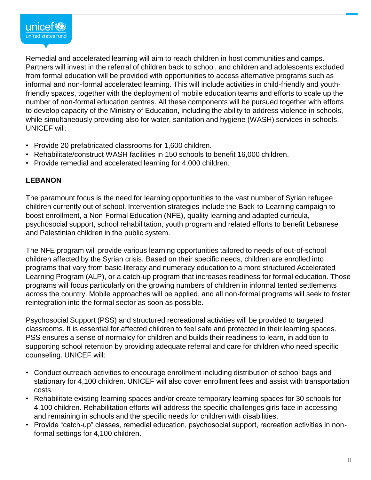

Remedial and accelerated learning will aim to reach children in host communities and camps. Partners will invest in the referral of children back to school, and children and adolescents excluded from formal education will be provided with opportunities to access alternative programs such as informal and non-formal accelerated learning. This will include activities in child-friendly and youthfriendly spaces, together with the deployment of mobile education teams and efforts to scale up the number of non-formal education centres. All these components will be pursued together with efforts to develop capacity of the Ministry of Education, including the ability to address violence in schools, while simultaneously providing also for water, sanitation and hygiene (WASH) services in schools. UNICEF will:

- Provide 20 prefabricated classrooms for 1,600 children.
- Rehabilitate/construct WASH facilities in 150 schools to benefit 16,000 children.
- Provide remedial and accelerated learning for 4,000 children.

#### **LEBANON**

The paramount focus is the need for learning opportunities to the vast number of Syrian refugee children currently out of school. Intervention strategies include the Back-to-Learning campaign to boost enrollment, a Non-Formal Education (NFE), quality learning and adapted curricula, psychosocial support, school rehabilitation, youth program and related efforts to benefit Lebanese and Palestinian children in the public system.

The NFE program will provide various learning opportunities tailored to needs of out-of-school children affected by the Syrian crisis. Based on their specific needs, children are enrolled into programs that vary from basic literacy and numeracy education to a more structured Accelerated Learning Program (ALP), or a catch-up program that increases readiness for formal education. Those programs will focus particularly on the growing numbers of children in informal tented settlements across the country. Mobile approaches will be applied, and all non-formal programs will seek to foster reintegration into the formal sector as soon as possible.

Psychosocial Support (PSS) and structured recreational activities will be provided to targeted classrooms. It is essential for affected children to feel safe and protected in their learning spaces. PSS ensures a sense of normalcy for children and builds their readiness to learn, in addition to supporting school retention by providing adequate referral and care for children who need specific counseling. UNICEF will:

- Conduct outreach activities to encourage enrollment including distribution of school bags and stationary for 4,100 children. UNICEF will also cover enrollment fees and assist with transportation costs.
- Rehabilitate existing learning spaces and/or create temporary learning spaces for 30 schools for 4,100 children. Rehabilitation efforts will address the specific challenges girls face in accessing and remaining in schools and the specific needs for children with disabilities.
- Provide "catch-up" classes, remedial education, psychosocial support, recreation activities in nonformal settings for 4,100 children.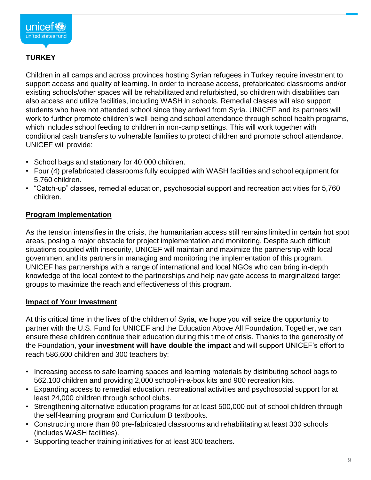

#### **TURKEY**

Children in all camps and across provinces hosting Syrian refugees in Turkey require investment to support access and quality of learning. In order to increase access, prefabricated classrooms and/or existing schools/other spaces will be rehabilitated and refurbished, so children with disabilities can also access and utilize facilities, including WASH in schools. Remedial classes will also support students who have not attended school since they arrived from Syria. UNICEF and its partners will work to further promote children's well-being and school attendance through school health programs, which includes school feeding to children in non-camp settings. This will work together with conditional cash transfers to vulnerable families to protect children and promote school attendance. UNICEF will provide:

- School bags and stationary for 40,000 children.
- Four (4) prefabricated classrooms fully equipped with WASH facilities and school equipment for 5,760 children.
- "Catch-up" classes, remedial education, psychosocial support and recreation activities for 5,760 children.

#### **Program Implementation**

As the tension intensifies in the crisis, the humanitarian access still remains limited in certain hot spot areas, posing a major obstacle for project implementation and monitoring. Despite such difficult situations coupled with insecurity, UNICEF will maintain and maximize the partnership with local government and its partners in managing and monitoring the implementation of this program. UNICEF has partnerships with a range of international and local NGOs who can bring in-depth knowledge of the local context to the partnerships and help navigate access to marginalized target groups to maximize the reach and effectiveness of this program.

#### **Impact of Your Investment**

At this critical time in the lives of the children of Syria, we hope you will seize the opportunity to partner with the U.S. Fund for UNICEF and the Education Above All Foundation. Together, we can ensure these children continue their education during this time of crisis. Thanks to the generosity of the Foundation, **your investment will have double the impact** and will support UNICEF's effort to reach 586,600 children and 300 teachers by:

- Increasing access to safe learning spaces and learning materials by distributing school bags to 562,100 children and providing 2,000 school-in-a-box kits and 900 recreation kits.
- Expanding access to remedial education, recreational activities and psychosocial support for at least 24,000 children through school clubs.
- Strengthening alternative education programs for at least 500,000 out-of-school children through the self-learning program and Curriculum B textbooks.
- Constructing more than 80 pre-fabricated classrooms and rehabilitating at least 330 schools (includes WASH facilities).
- Supporting teacher training initiatives for at least 300 teachers.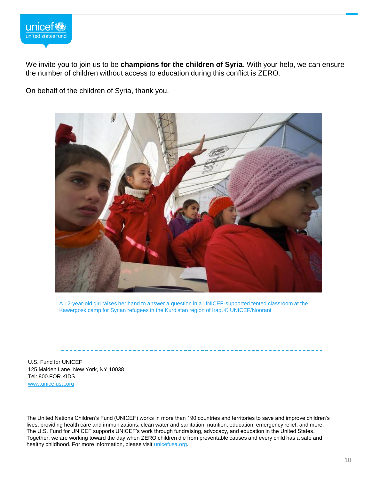

We invite you to join us to be **champions for the children of Syria**. With your help, we can ensure the number of children without access to education during this conflict is ZERO.

On behalf of the children of Syria, thank you.



A 12-year-old girl raises her hand to answer a question in a UNICEF-supported tented classroom at the Kawergosk camp for Syrian refugees in the Kurdistan region of Iraq. © UNICEF/Noorani

U.S. Fund for UNICEF 125 Maiden Lane, New York, NY 10038 Tel: 800.FOR.KIDS [www.unicefusa.org](http://www.unicefusa.org)

The United Nations Children's Fund (UNICEF) works in more than 190 countries and territories to save and improve children's lives, providing health care and immunizations, clean water and sanitation, nutrition, education, emergency relief, and more. The U.S. Fund for UNICEF supports UNICEF's work through fundraising, advocacy, and education in the United States. Together, we are working toward the day when ZERO children die from preventable causes and every child has a safe and healthy childhood. For more information, please visit [unicefusa.org.](http://unicefusa.org/)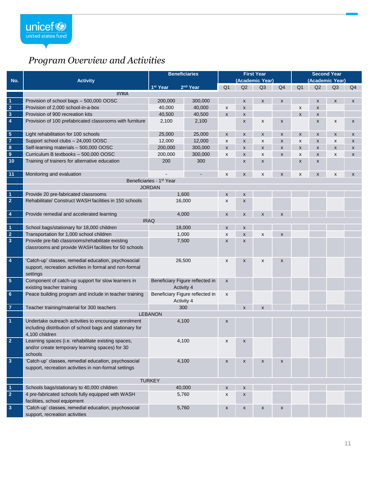### *Program Overview and Activities*

|                         |                                                                                                                                    | <b>Beneficiaries</b>                          |                      | <b>First Year</b>         |                    |                    |                           | <b>Second Year</b> |                           |                           |                    |
|-------------------------|------------------------------------------------------------------------------------------------------------------------------------|-----------------------------------------------|----------------------|---------------------------|--------------------|--------------------|---------------------------|--------------------|---------------------------|---------------------------|--------------------|
| No.                     | <b>Activity</b>                                                                                                                    |                                               |                      | (Academic Year)           |                    |                    |                           | (Academic Year)    |                           |                           |                    |
|                         |                                                                                                                                    | 1 <sup>st</sup> Year                          | 2 <sup>nd</sup> Year | Q <sub>1</sub>            | Q2                 | Q <sub>3</sub>     | Q <sub>4</sub>            | Q <sub>1</sub>     | Q2                        | Q <sub>3</sub>            | Q <sub>4</sub>     |
|                         | <b>SYRIA</b>                                                                                                                       |                                               |                      |                           |                    |                    |                           |                    |                           |                           |                    |
| $\overline{1}$          | Provision of school bags - 500,000 OOSC                                                                                            | 200,000                                       | 300,000              |                           | $\pmb{\mathsf{x}}$ | $\pmb{\mathsf{x}}$ | $\boldsymbol{\mathsf{x}}$ |                    | $\boldsymbol{\mathsf{x}}$ | $\boldsymbol{\mathsf{x}}$ | $\mathsf{x}$       |
| $\overline{2}$          | Provision of 2,000 school-in-a-box                                                                                                 | 40,000                                        | 40.000               | X                         | X                  |                    |                           | X                  | $\boldsymbol{\mathsf{x}}$ |                           |                    |
| $\overline{\mathbf{3}}$ | Provision of 900 recreation kits                                                                                                   | 40,500                                        | 40,500               | $\pmb{\mathsf{x}}$        | $\pmb{\mathsf{X}}$ |                    |                           | X                  | $\boldsymbol{\mathsf{x}}$ |                           |                    |
| $\overline{4}$          | Provision of 100 prefabricated classrooms with furniture                                                                           | 2,100                                         | 2,100                |                           | $\pmb{\mathsf{X}}$ | X                  | $\pmb{\mathsf{X}}$        |                    | $\pmb{\times}$            | $\boldsymbol{x}$          | $\pmb{\mathsf{x}}$ |
| $\overline{\mathbf{5}}$ | Light rehabilitation for 100 schools                                                                                               | 25,000                                        | 25,000               | $\pmb{\mathsf{X}}$        | $\pmb{\mathsf{x}}$ | X                  | $\pmb{\mathsf{X}}$        | X                  | X                         | $\pmb{\mathsf{X}}$        | X                  |
| $\overline{7}$          | Support school clubs - 24,000 OOSC                                                                                                 | 12,000                                        | 12,000               | X                         | $\pmb{\mathsf{x}}$ | x                  | X                         | X                  | $\pmb{\times}$            | X                         | X                  |
| $\overline{\mathbf{8}}$ | Self-learning materials - 500,000 OOSC                                                                                             | 200,000                                       | 300,000              | $\pmb{\chi}$              | $\pmb{\mathsf{x}}$ | X                  | X                         | X                  | $\pmb{\times}$            | X                         | X                  |
| $\boldsymbol{9}$        | Curriculum B textbooks - 500,000 OOSC                                                                                              | 200,000                                       | 300,000              | X                         | $\pmb{\times}$     | X                  | X                         | X                  | $\pmb{\times}$            | X                         | X                  |
| 10                      | Training of trainers for alternative education                                                                                     | 200                                           | 300                  |                           | $\pmb{\mathsf{x}}$ | X                  |                           | X                  | X                         |                           |                    |
| $\overline{11}$         | Monitoring and evaluation                                                                                                          |                                               |                      | X                         | $\pmb{\mathsf{x}}$ | X                  | $\pmb{\chi}$              | X                  | $\pmb{\times}$            | X                         | $\pmb{\mathsf{x}}$ |
|                         | Beneficiaries - 1st Year                                                                                                           |                                               |                      |                           |                    |                    |                           |                    |                           |                           |                    |
|                         | <b>JORDAN</b>                                                                                                                      |                                               |                      |                           |                    |                    |                           |                    |                           |                           |                    |
| $\overline{1}$          | Provide 20 pre-fabricated classrooms                                                                                               | 1,600                                         |                      | $\pmb{\mathsf{x}}$        | $\pmb{\mathsf{x}}$ |                    |                           |                    |                           |                           |                    |
| $\overline{2}$          | Rehabilitate/ Construct WASH facilities in 150 schools                                                                             | 16,000                                        |                      | X                         | $\pmb{\mathsf{x}}$ |                    |                           |                    |                           |                           |                    |
| $\overline{\mathbf{4}}$ | Provide remedial and accelerated learning                                                                                          | 4,000                                         |                      | X                         | X                  | X                  | $\pmb{\chi}$              |                    |                           |                           |                    |
|                         |                                                                                                                                    | <b>IRAQ</b>                                   |                      |                           |                    |                    |                           |                    |                           |                           |                    |
| $\overline{1}$          | School bags/stationary for 18,000 children                                                                                         | 18,000                                        |                      | X                         | $\pmb{\times}$     |                    |                           |                    |                           |                           |                    |
| $\overline{2}$          | Transportation for 1,000 school children                                                                                           | 1,000                                         |                      | X                         | $\pmb{\times}$     | X                  | $\pmb{\chi}$              |                    |                           |                           |                    |
| $\overline{\mathbf{3}}$ | Provide pre-fab classrooms/rehabilitate existing                                                                                   | 7,500                                         |                      | X                         | $\pmb{\mathsf{x}}$ |                    |                           |                    |                           |                           |                    |
|                         | classrooms and provide WASH facilities for 50 schools                                                                              |                                               |                      |                           |                    |                    |                           |                    |                           |                           |                    |
| $\overline{4}$          | 'Catch-up' classes, remedial education, psychosocial<br>support, recreation activities in formal and non-formal<br>settings        | 26,500                                        |                      | X                         | $\pmb{\mathsf{x}}$ | X                  | X                         |                    |                           |                           |                    |
| $\overline{\mathbf{5}}$ | Component of catch-up support for slow learners in<br>existing teacher training                                                    | Beneficiary Figure reflected in<br>Activity 4 |                      | $\boldsymbol{\mathsf{x}}$ |                    |                    |                           |                    |                           |                           |                    |
| $\bf 6$                 | Peace building program and include in teacher training                                                                             | Beneficiary Figure reflected in<br>Activity 4 |                      | X                         |                    |                    |                           |                    |                           |                           |                    |
| $\overline{7}$          | Teacher training/material for 300 teachers                                                                                         | 300                                           |                      |                           | $\pmb{\mathsf{x}}$ | X                  |                           |                    |                           |                           |                    |
|                         | <b>LEBANON</b>                                                                                                                     |                                               |                      |                           |                    |                    |                           |                    |                           |                           |                    |
| $\overline{1}$          | Undertake outreach activities to encourage enrolment<br>including distribution of school bags and stationary for<br>4,100 children | 4,100                                         |                      | X                         |                    |                    |                           |                    |                           |                           |                    |
| $\overline{2}$          | Learning spaces (i.e. rehabilitate existing spaces,<br>and/or create temporary learning spaces) for 30<br>schools                  | 4,100                                         |                      |                           |                    |                    |                           |                    |                           |                           |                    |
| $\overline{\mathbf{3}}$ | 'Catch-up' classes, remedial education, psychosocial<br>support, recreation activities in non-formal settings                      | 4,100                                         |                      | $\pmb{\mathsf{X}}$        | $\pmb{\mathsf{x}}$ | X                  | $\pmb{\mathsf{X}}$        |                    |                           |                           |                    |
|                         | <b>TURKEY</b>                                                                                                                      |                                               |                      |                           |                    |                    |                           |                    |                           |                           |                    |
| $\overline{1}$          | Schools bags/stationary to 40,000 children                                                                                         | 40,000                                        |                      | $\pmb{\mathsf{x}}$        | $\pmb{\mathsf{x}}$ |                    |                           |                    |                           |                           |                    |
| $\overline{2}$          | 4 pre-fabricated schools fully equipped with WASH<br>facilities, school equipment                                                  | 5,760                                         |                      | X                         | $\pmb{\times}$     |                    |                           |                    |                           |                           |                    |
| $\overline{3}$          | 'Catch-up' classes, remedial education, psychosocial<br>support, recreation activities                                             | 5,760                                         |                      | X                         | X                  | X                  | X                         |                    |                           |                           |                    |